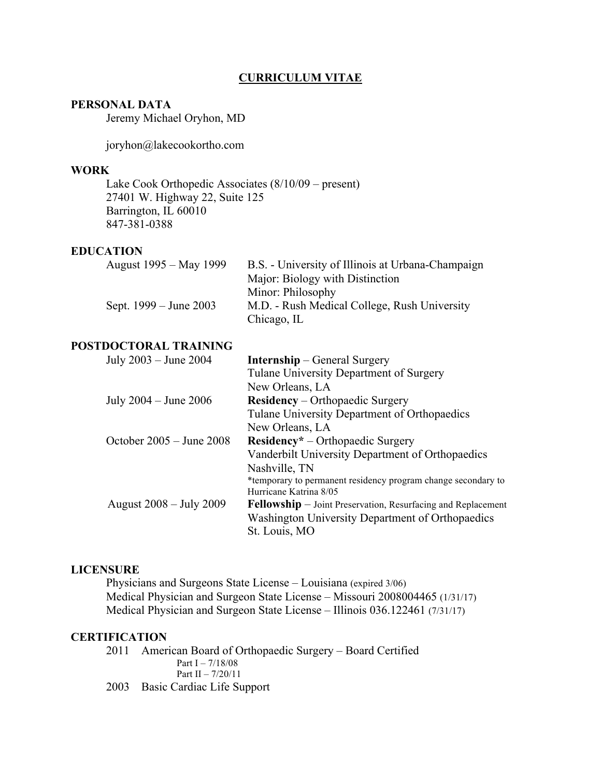## **CURRICULUM VITAE**

## **PERSONAL DATA**

Jeremy Michael Oryhon, MD

joryhon@lakecookortho.com

#### **WORK**

Lake Cook Orthopedic Associates (8/10/09 – present) 27401 W. Highway 22, Suite 125 Barrington, IL 60010 847-381-0388

#### **EDUCATION**

| August 1995 – May 1999 | B.S. - University of Illinois at Urbana-Champaign |
|------------------------|---------------------------------------------------|
|                        | Major: Biology with Distinction                   |
|                        | Minor: Philosophy                                 |
| Sept. 1999 – June 2003 | M.D. - Rush Medical College, Rush University      |
|                        | Chicago, IL                                       |

# **POSTDOCTORAL TRAINING**

|  | July 2003 – June 2004                            | <b>Internship</b> – General Surgery                                 |
|--|--------------------------------------------------|---------------------------------------------------------------------|
|  |                                                  | Tulane University Department of Surgery                             |
|  |                                                  | New Orleans, LA                                                     |
|  | July $2004 -$ June $2006$                        | <b>Residency</b> – Orthopaedic Surgery                              |
|  |                                                  | Tulane University Department of Orthopaedics                        |
|  |                                                  | New Orleans, LA                                                     |
|  | October $2005 -$ June $2008$                     | <b>Residency</b> * – Orthopaedic Surgery                            |
|  | Vanderbilt University Department of Orthopaedics |                                                                     |
|  |                                                  | Nashville, TN                                                       |
|  |                                                  | *temporary to permanent residency program change secondary to       |
|  |                                                  | Hurricane Katrina 8/05                                              |
|  | August 2008 – July 2009                          | <b>Fellowship</b> – Joint Preservation, Resurfacing and Replacement |
|  |                                                  | Washington University Department of Orthopaedics                    |
|  |                                                  | St. Louis, MO                                                       |
|  |                                                  |                                                                     |

#### **LICENSURE**

Physicians and Surgeons State License – Louisiana (expired 3/06) Medical Physician and Surgeon State License – Missouri 2008004465 (1/31/17) Medical Physician and Surgeon State License – Illinois 036.122461 (7/31/17)

## **CERTIFICATION**

2011 American Board of Orthopaedic Surgery – Board Certified Part I –  $7/18/08$ Part II – 7/20/11 2003 Basic Cardiac Life Support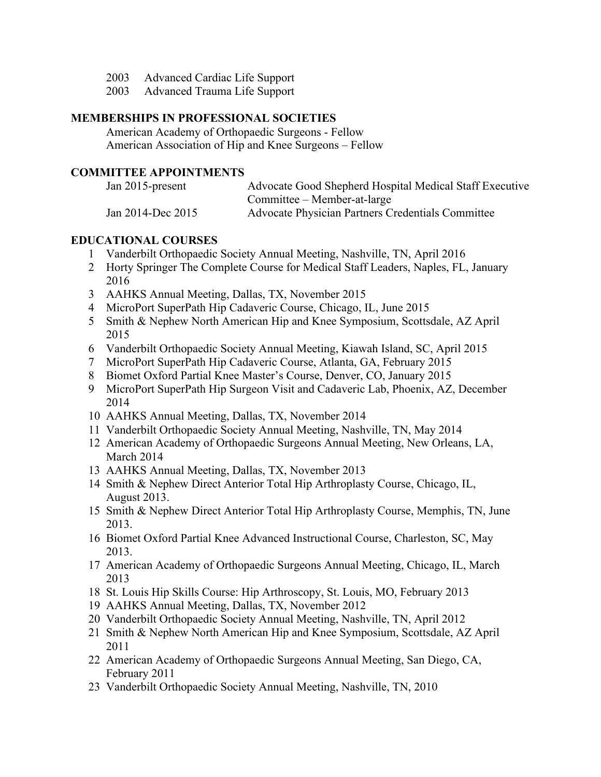- 2003 Advanced Cardiac Life Support
- 2003 Advanced Trauma Life Support

### **MEMBERSHIPS IN PROFESSIONAL SOCIETIES**

American Academy of Orthopaedic Surgeons - Fellow American Association of Hip and Knee Surgeons – Fellow

## **COMMITTEE APPOINTMENTS**

| Jan 2015-present  | Advocate Good Shepherd Hospital Medical Staff Executive |
|-------------------|---------------------------------------------------------|
|                   | Committee – Member-at-large                             |
| Jan 2014-Dec 2015 | Advocate Physician Partners Credentials Committee       |

#### **EDUCATIONAL COURSES**

- Vanderbilt Orthopaedic Society Annual Meeting, Nashville, TN, April 2016
- Horty Springer The Complete Course for Medical Staff Leaders, Naples, FL, January
- AAHKS Annual Meeting, Dallas, TX, November 2015
- MicroPort SuperPath Hip Cadaveric Course, Chicago, IL, June 2015
- Smith & Nephew North American Hip and Knee Symposium, Scottsdale, AZ April
- Vanderbilt Orthopaedic Society Annual Meeting, Kiawah Island, SC, April 2015
- MicroPort SuperPath Hip Cadaveric Course, Atlanta, GA, February 2015
- Biomet Oxford Partial Knee Master's Course, Denver, CO, January 2015
- MicroPort SuperPath Hip Surgeon Visit and Cadaveric Lab, Phoenix, AZ, December
- AAHKS Annual Meeting, Dallas, TX, November 2014
- Vanderbilt Orthopaedic Society Annual Meeting, Nashville, TN, May 2014
- American Academy of Orthopaedic Surgeons Annual Meeting, New Orleans, LA, March 2014
- AAHKS Annual Meeting, Dallas, TX, November 2013
- Smith & Nephew Direct Anterior Total Hip Arthroplasty Course, Chicago, IL, August 2013.
- Smith & Nephew Direct Anterior Total Hip Arthroplasty Course, Memphis, TN, June 2013.
- Biomet Oxford Partial Knee Advanced Instructional Course, Charleston, SC, May 2013.
- American Academy of Orthopaedic Surgeons Annual Meeting, Chicago, IL, March
- St. Louis Hip Skills Course: Hip Arthroscopy, St. Louis, MO, February 2013
- AAHKS Annual Meeting, Dallas, TX, November 2012
- Vanderbilt Orthopaedic Society Annual Meeting, Nashville, TN, April 2012
- Smith & Nephew North American Hip and Knee Symposium, Scottsdale, AZ April
- American Academy of Orthopaedic Surgeons Annual Meeting, San Diego, CA, February 2011
- Vanderbilt Orthopaedic Society Annual Meeting, Nashville, TN, 2010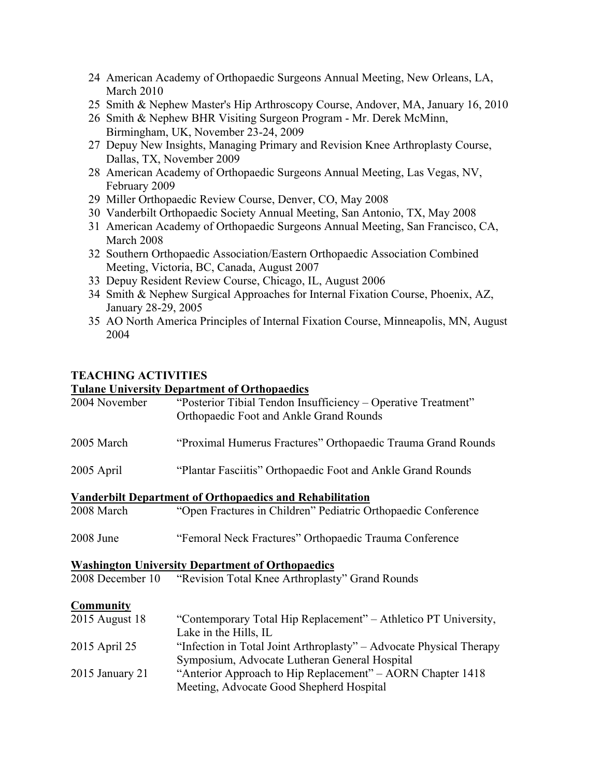- 24 American Academy of Orthopaedic Surgeons Annual Meeting, New Orleans, LA, March 2010
- 25 Smith & Nephew Master's Hip Arthroscopy Course, Andover, MA, January 16, 2010
- 26 Smith & Nephew BHR Visiting Surgeon Program Mr. Derek McMinn, Birmingham, UK, November 23-24, 2009
- 27 Depuy New Insights, Managing Primary and Revision Knee Arthroplasty Course, Dallas, TX, November 2009
- 28 American Academy of Orthopaedic Surgeons Annual Meeting, Las Vegas, NV, February 2009
- 29 Miller Orthopaedic Review Course, Denver, CO, May 2008
- 30 Vanderbilt Orthopaedic Society Annual Meeting, San Antonio, TX, May 2008
- 31 American Academy of Orthopaedic Surgeons Annual Meeting, San Francisco, CA, March 2008
- 32 Southern Orthopaedic Association/Eastern Orthopaedic Association Combined Meeting, Victoria, BC, Canada, August 2007
- 33 Depuy Resident Review Course, Chicago, IL, August 2006
- 34 Smith & Nephew Surgical Approaches for Internal Fixation Course, Phoenix, AZ, January 28-29, 2005
- 35 AO North America Principles of Internal Fixation Course, Minneapolis, MN, August 2004

# **TEACHING ACTIVITIES**

#### **Tulane University Department of Orthopaedics**

| 2004 November                                                   | "Posterior Tibial Tendon Insufficiency – Operative Treatment"<br>Orthopaedic Foot and Ankle Grand Rounds             |  |  |  |
|-----------------------------------------------------------------|----------------------------------------------------------------------------------------------------------------------|--|--|--|
| 2005 March                                                      | "Proximal Humerus Fractures" Orthopaedic Trauma Grand Rounds                                                         |  |  |  |
| 2005 April                                                      | "Plantar Fasciitis" Orthopaedic Foot and Ankle Grand Rounds                                                          |  |  |  |
| <b>Vanderbilt Department of Orthopaedics and Rehabilitation</b> |                                                                                                                      |  |  |  |
| 2008 March                                                      | "Open Fractures in Children" Pediatric Orthopaedic Conference                                                        |  |  |  |
| 2008 June                                                       | "Femoral Neck Fractures" Orthopaedic Trauma Conference                                                               |  |  |  |
| <b>Washington University Department of Orthopaedics</b>         |                                                                                                                      |  |  |  |
| 2008 December 10                                                | "Revision Total Knee Arthroplasty" Grand Rounds                                                                      |  |  |  |
| <b>Community</b>                                                |                                                                                                                      |  |  |  |
| 2015 August 18                                                  | "Contemporary Total Hip Replacement" – Athletico PT University,<br>Lake in the Hills, IL                             |  |  |  |
| 2015 April 25                                                   | "Infection in Total Joint Arthroplasty" – Advocate Physical Therapy<br>Symposium, Advocate Lutheran General Hospital |  |  |  |
| 2015 January 21                                                 | "Anterior Approach to Hip Replacement" – AORN Chapter 1418<br>Meeting, Advocate Good Shepherd Hospital               |  |  |  |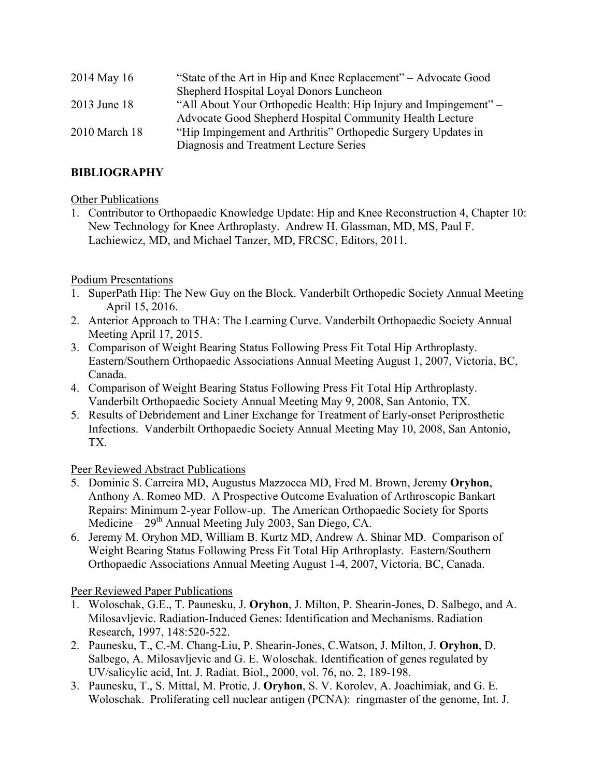| 2014 May 16   | "State of the Art in Hip and Knee Replacement" – Advocate Good   |
|---------------|------------------------------------------------------------------|
|               | Shepherd Hospital Loyal Donors Luncheon                          |
| 2013 June 18  | "All About Your Orthopedic Health: Hip Injury and Impingement" - |
|               | Advocate Good Shepherd Hospital Community Health Lecture         |
| 2010 March 18 | "Hip Impingement and Arthritis" Orthopedic Surgery Updates in    |
|               | Diagnosis and Treatment Lecture Series                           |

# **BIBLIOGRAPHY**

# **Other Publications**

1. Contributor to Orthopaedic Knowledge Update: Hip and Knee Reconstruction 4, Chapter 10: New Technology for Knee Arthroplasty. Andrew H. Glassman, MD, MS, Paul F. Lachiewicz, MD, and Michael Tanzer, MD, FRCSC, Editors, 2011.

# Podium Presentations

- 1. SuperPath Hip: The New Guy on the Block. Vanderbilt Orthopedic Society Annual Meeting April 15, 2016.
- 2. Anterior Approach to THA: The Learning Curve. Vanderbilt Orthopaedic Society Annual Meeting April 17, 2015.
- 3. Comparison of Weight Bearing Status Following Press Fit Total Hip Arthroplasty. Eastern/Southern Orthopaedic Associations Annual Meeting August 1, 2007, Victoria, BC, Canada.
- 4. Comparison of Weight Bearing Status Following Press Fit Total Hip Arthroplasty. Vanderbilt Orthopaedic Society Annual Meeting May 9, 2008, San Antonio, TX.
- 5. Results of Debridement and Liner Exchange for Treatment of Early-onset Periprosthetic Infections. Vanderbilt Orthopaedic Society Annual Meeting May 10, 2008, San Antonio, TX.

# Peer Reviewed Abstract Publications

- 5. Dominic S. Carreira MD, Augustus Mazzocca MD, Fred M. Brown, Jeremy **Oryhon**, Anthony A. Romeo MD. A Prospective Outcome Evaluation of Arthroscopic Bankart Repairs: Minimum 2-year Follow-up. The American Orthopaedic Society for Sports Medicine –  $29<sup>th</sup>$  Annual Meeting July 2003, San Diego, CA.
- 6. Jeremy M. Oryhon MD, William B. Kurtz MD, Andrew A. Shinar MD. Comparison of Weight Bearing Status Following Press Fit Total Hip Arthroplasty. Eastern/Southern Orthopaedic Associations Annual Meeting August 1-4, 2007, Victoria, BC, Canada.

# Peer Reviewed Paper Publications

- 1. Woloschak, G.E., T. Paunesku, J. **Oryhon**, J. Milton, P. Shearin-Jones, D. Salbego, and A. Milosavljevic. Radiation-Induced Genes: Identification and Mechanisms. Radiation Research, 1997, 148:520-522.
- 2. Paunesku, T., C.-M. Chang-Liu, P. Shearin-Jones, C.Watson, J. Milton, J. **Oryhon**, D. Salbego, A. Milosavljevic and G. E. Woloschak. Identification of genes regulated by UV/salicylic acid, Int. J. Radiat. Biol., 2000, vol. 76, no. 2, 189-198.
- 3. Paunesku, T., S. Mittal, M. Protic, J. **Oryhon**, S. V. Korolev, A. Joachimiak, and G. E. Woloschak. Proliferating cell nuclear antigen (PCNA): ringmaster of the genome, Int. J.